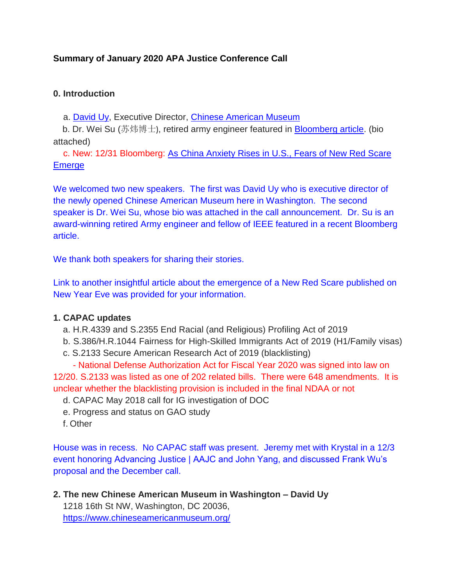# **Summary of January 2020 APA Justice Conference Call**

#### **0. Introduction**

a. [David Uy,](http://bit.ly/36VdQuy) Executive Director, [Chinese American Museum](http://bit.ly/2MUKuFd)

b. Dr. Wei Su (苏炜博士**)**, retired army engineer featured in [Bloomberg article.](https://bloom.bg/2PAKaff) (bio attached)

c. New: 12/31 Bloomberg: [As China Anxiety Rises in U.S., Fears of New Red Scare](https://bloom.bg/37vppJc)  **[Emerge](https://bloom.bg/37vppJc)** 

We welcomed two new speakers. The first was David Uy who is executive director of the newly opened Chinese American Museum here in Washington. The second speaker is Dr. Wei Su, whose bio was attached in the call announcement. Dr. Su is an award-winning retired Army engineer and fellow of IEEE featured in a recent Bloomberg article.

We thank both speakers for sharing their stories.

Link to another insightful article about the emergence of a New Red Scare published on New Year Eve was provided for your information.

## **1. CAPAC updates**

- a. H.R.4339 and S.2355 End Racial (and Religious) Profiling Act of 2019
- b. S.386/H.R.1044 Fairness for High-Skilled Immigrants Act of 2019 (H1/Family visas)
- c. S.2133 Secure American Research Act of 2019 (blacklisting)

- National Defense Authorization Act for Fiscal Year 2020 was signed into law on 12/20. S.2133 was listed as one of 202 related bills. There were 648 amendments. It is unclear whether the blacklisting provision is included in the final NDAA or not

- d. CAPAC May 2018 call for IG investigation of DOC
- e. Progress and status on GAO study
- f. Other

House was in recess. No CAPAC staff was present. Jeremy met with Krystal in a 12/3 event honoring Advancing Justice | AAJC and John Yang, and discussed Frank Wu's proposal and the December call.

**2. The new Chinese American Museum in Washington – David Uy** 1218 16th St NW, Washington, DC 20036, <https://www.chineseamericanmuseum.org/>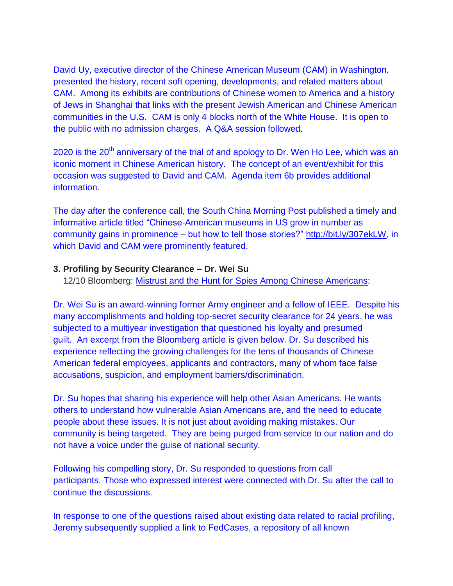David Uy, executive director of the Chinese American Museum (CAM) in Washington, presented the history, recent soft opening, developments, and related matters about CAM. Among its exhibits are contributions of Chinese women to America and a history of Jews in Shanghai that links with the present Jewish American and Chinese American communities in the U.S. CAM is only 4 blocks north of the White House. It is open to the public with no admission charges. A Q&A session followed.

2020 is the  $20^{th}$  anniversary of the trial of and apology to Dr. Wen Ho Lee, which was an iconic moment in Chinese American history. The concept of an event/exhibit for this occasion was suggested to David and CAM. Agenda item 6b provides additional information.

The day after the conference call, the South China Morning Post published a timely and informative article titled "Chinese-American museums in US grow in number as community gains in prominence – but how to tell those stories?" [http://bit.ly/307ekLW,](http://bit.ly/307ekLW) in which David and CAM were prominently featured.

#### **3. Profiling by Security Clearance – Dr. Wei Su**

12/10 Bloomberg: [Mistrust and the Hunt for Spies Among Chinese Americans:](https://bloom.bg/2PAKaff)

Dr. Wei Su is an award-winning former Army engineer and a fellow of IEEE. Despite his many accomplishments and holding top-secret security clearance for 24 years, he was subjected to a multiyear investigation that questioned his loyalty and presumed guilt. An excerpt from the Bloomberg article is given below. Dr. Su described his experience reflecting the growing challenges for the tens of thousands of Chinese American federal employees, applicants and contractors, many of whom face false accusations, suspicion, and employment barriers/discrimination.

Dr. Su hopes that sharing his experience will help other Asian Americans. He wants others to understand how vulnerable Asian Americans are, and the need to educate people about these issues. It is not just about avoiding making mistakes. Our community is being targeted. They are being purged from service to our nation and do not have a voice under the guise of national security.

Following his compelling story, Dr. Su responded to questions from call participants. Those who expressed interest were connected with Dr. Su after the call to continue the discussions.

In response to one of the questions raised about existing data related to racial profiling, Jeremy subsequently supplied a link to FedCases, a repository of all known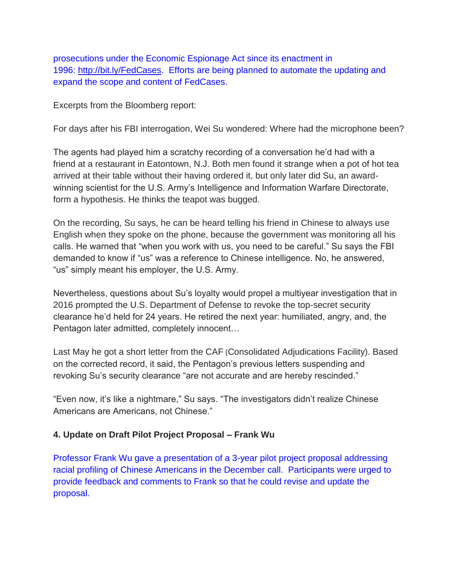prosecutions under the Economic Espionage Act since its enactment in 1996: [http://bit.ly/FedCases.](http://bit.ly/FedCases) Efforts are being planned to automate the updating and expand the scope and content of FedCases.

Excerpts from the Bloomberg report:

For days after his FBI interrogation, Wei Su wondered: Where had the microphone been?

The agents had played him a scratchy recording of a conversation he'd had with a friend at a restaurant in Eatontown, N.J. Both men found it strange when a pot of hot tea arrived at their table without their having ordered it, but only later did Su, an awardwinning scientist for the U.S. Army's Intelligence and Information Warfare Directorate, form a hypothesis. He thinks the teapot was bugged.

On the recording, Su says, he can be heard telling his friend in Chinese to always use English when they spoke on the phone, because the government was monitoring all his calls. He warned that "when you work with us, you need to be careful." Su says the FBI demanded to know if "us" was a reference to Chinese intelligence. No, he answered, "us" simply meant his employer, the U.S. Army.

Nevertheless, questions about Su's loyalty would propel a multiyear investigation that in 2016 prompted the U.S. Department of Defense to revoke the top-secret security clearance he'd held for 24 years. He retired the next year: humiliated, angry, and, the Pentagon later admitted, completely innocent…

Last May he got a short letter from the CAF (Consolidated Adjudications Facility). Based on the corrected record, it said, the Pentagon's previous letters suspending and revoking Su's security clearance "are not accurate and are hereby rescinded."

"Even now, it's like a nightmare," Su says. "The investigators didn't realize Chinese Americans are Americans, not Chinese."

## **4. Update on Draft Pilot Project Proposal – Frank Wu**

Professor Frank Wu gave a presentation of a 3-year pilot project proposal addressing racial profiling of Chinese Americans in the December call. Participants were urged to provide feedback and comments to Frank so that he could revise and update the proposal.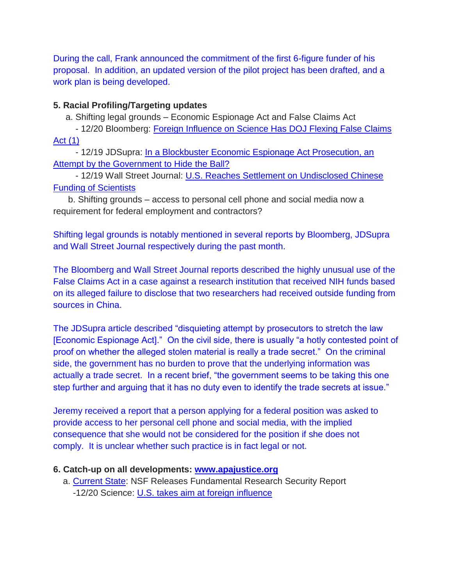During the call, Frank announced the commitment of the first 6-figure funder of his proposal. In addition, an updated version of the pilot project has been drafted, and a work plan is being developed.

## **5. Racial Profiling/Targeting updates**

a. Shifting legal grounds – Economic Espionage Act and False Claims Act

- 12/20 Bloomberg: [Foreign Influence on Science Has DOJ Flexing False Claims](http://bit.ly/2Q8KvWI)  [Act \(1\)](http://bit.ly/2Q8KvWI)

- 12/19 JDSupra: In a Blockbuster Economic Espionage Act Prosecution, an [Attempt by the Government to Hide](http://bit.ly/34DlnfW) the Ball?

- 12/19 Wall Street Journal: [U.S. Reaches Settlement on Undisclosed Chinese](https://on.wsj.com/2SgPnvs)  [Funding of Scientists](https://on.wsj.com/2SgPnvs)

b. Shifting grounds – access to personal cell phone and social media now a requirement for federal employment and contractors?

Shifting legal grounds is notably mentioned in several reports by Bloomberg, JDSupra and Wall Street Journal respectively during the past month.

The Bloomberg and Wall Street Journal reports described the highly unusual use of the False Claims Act in a case against a research institution that received NIH funds based on its alleged failure to disclose that two researchers had received outside funding from sources in China.

The JDSupra article described "disquieting attempt by prosecutors to stretch the law [Economic Espionage Act]." On the civil side, there is usually "a hotly contested point of proof on whether the alleged stolen material is really a trade secret." On the criminal side, the government has no burden to prove that the underlying information was actually a trade secret. In a recent brief, "the government seems to be taking this one step further and arguing that it has no duty even to identify the trade secrets at issue."

Jeremy received a report that a person applying for a federal position was asked to provide access to her personal cell phone and social media, with the implied consequence that she would not be considered for the position if she does not comply. It is unclear whether such practice is in fact legal or not.

## **6. Catch-up on all developments: [www.apajustice.org](http://www.apajustice.org/)**

a. [Current State:](https://www.apajustice.org/current-state.html) NSF Releases Fundamental Research Security Report -12/20 Science: [U.S. takes aim at foreign influence](http://bit.ly/34Cku7r)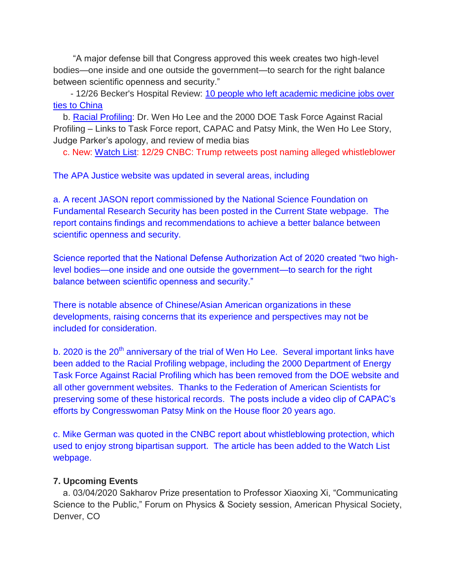"A major defense bill that Congress approved this week creates two high-level bodies—one inside and one outside the government—to search for the right balance between scientific openness and security."

- 12/26 Becker's Hospital Review: [10 people who left academic medicine jobs over](http://bit.ly/39jTZqE)  [ties to China](http://bit.ly/39jTZqE)

b. [Racial Profiling:](https://www.apajustice.org/racial-profiling.html) Dr. Wen Ho Lee and the 2000 DOE Task Force Against Racial Profiling – Links to Task Force report, CAPAC and Patsy Mink, the Wen Ho Lee Story, Judge Parker's apology, and review of media bias

c. New: [Watch List:](https://www.apajustice.org/watch-list.html) 12/29 CNBC: Trump retweets post naming alleged whistleblower

The APA Justice website was updated in several areas, including

a. A recent JASON report commissioned by the National Science Foundation on Fundamental Research Security has been posted in the Current State webpage. The report contains findings and recommendations to achieve a better balance between scientific openness and security.

Science reported that the National Defense Authorization Act of 2020 created "two highlevel bodies—one inside and one outside the government—to search for the right balance between scientific openness and security."

There is notable absence of Chinese/Asian American organizations in these developments, raising concerns that its experience and perspectives may not be included for consideration.

b. 2020 is the  $20<sup>th</sup>$  anniversary of the trial of Wen Ho Lee. Several important links have been added to the Racial Profiling webpage, including the 2000 Department of Energy Task Force Against Racial Profiling which has been removed from the DOE website and all other government websites. Thanks to the Federation of American Scientists for preserving some of these historical records. The posts include a video clip of CAPAC's efforts by Congresswoman Patsy Mink on the House floor 20 years ago.

c. Mike German was quoted in the CNBC report about whistleblowing protection, which used to enjoy strong bipartisan support. The article has been added to the Watch List webpage.

#### **7. Upcoming Events**

a. 03/04/2020 Sakharov Prize presentation to Professor Xiaoxing Xi, "Communicating Science to the Public," Forum on Physics & Society session, American Physical Society, Denver, CO